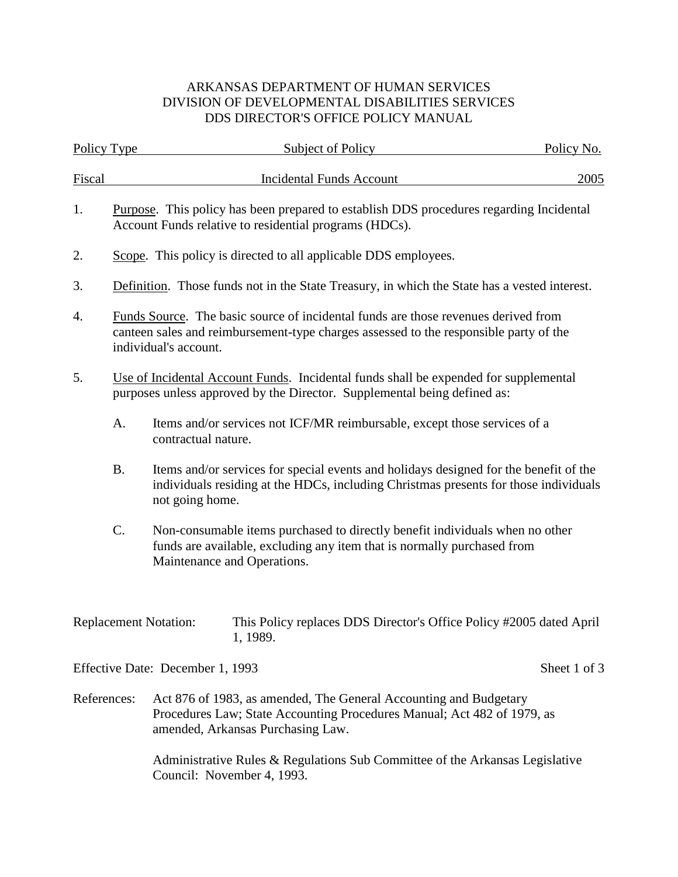## ARKANSAS DEPARTMENT OF HUMAN SERVICES DIVISION OF DEVELOPMENTAL DISABILITIES SERVICES DDS DIRECTOR'S OFFICE POLICY MANUAL

| Policy Type                  |                                                                                                                                                                                                      | Subject of Policy                                                                                                                                                                                | Policy No.   |  |  |  |
|------------------------------|------------------------------------------------------------------------------------------------------------------------------------------------------------------------------------------------------|--------------------------------------------------------------------------------------------------------------------------------------------------------------------------------------------------|--------------|--|--|--|
| <b>Fiscal</b>                |                                                                                                                                                                                                      | <b>Incidental Funds Account</b>                                                                                                                                                                  | 2005         |  |  |  |
| 1.                           | Purpose. This policy has been prepared to establish DDS procedures regarding Incidental<br>Account Funds relative to residential programs (HDCs).                                                    |                                                                                                                                                                                                  |              |  |  |  |
| 2.                           |                                                                                                                                                                                                      | Scope. This policy is directed to all applicable DDS employees.                                                                                                                                  |              |  |  |  |
| 3.                           |                                                                                                                                                                                                      | Definition. Those funds not in the State Treasury, in which the State has a vested interest.                                                                                                     |              |  |  |  |
| 4.                           | Funds Source. The basic source of incidental funds are those revenues derived from<br>canteen sales and reimbursement-type charges assessed to the responsible party of the<br>individual's account. |                                                                                                                                                                                                  |              |  |  |  |
| 5.                           | Use of Incidental Account Funds. Incidental funds shall be expended for supplemental<br>purposes unless approved by the Director. Supplemental being defined as:                                     |                                                                                                                                                                                                  |              |  |  |  |
|                              | A.                                                                                                                                                                                                   | Items and/or services not ICF/MR reimbursable, except those services of a<br>contractual nature.                                                                                                 |              |  |  |  |
|                              | <b>B.</b>                                                                                                                                                                                            | Items and/or services for special events and holidays designed for the benefit of the<br>individuals residing at the HDCs, including Christmas presents for those individuals<br>not going home. |              |  |  |  |
|                              | C.                                                                                                                                                                                                   | Non-consumable items purchased to directly benefit individuals when no other<br>funds are available, excluding any item that is normally purchased from<br>Maintenance and Operations.           |              |  |  |  |
| <b>Replacement Notation:</b> |                                                                                                                                                                                                      | This Policy replaces DDS Director's Office Policy #2005 dated April<br>1, 1989.                                                                                                                  |              |  |  |  |
|                              |                                                                                                                                                                                                      | Effective Date: December 1, 1993                                                                                                                                                                 | Sheet 1 of 3 |  |  |  |
| References:                  |                                                                                                                                                                                                      | Act 876 of 1983, as amended, The General Accounting and Budgetary<br>Procedures Law; State Accounting Procedures Manual; Act 482 of 1979, as<br>amended, Arkansas Purchasing Law.                |              |  |  |  |

Administrative Rules & Regulations Sub Committee of the Arkansas Legislative Council: November 4, 1993.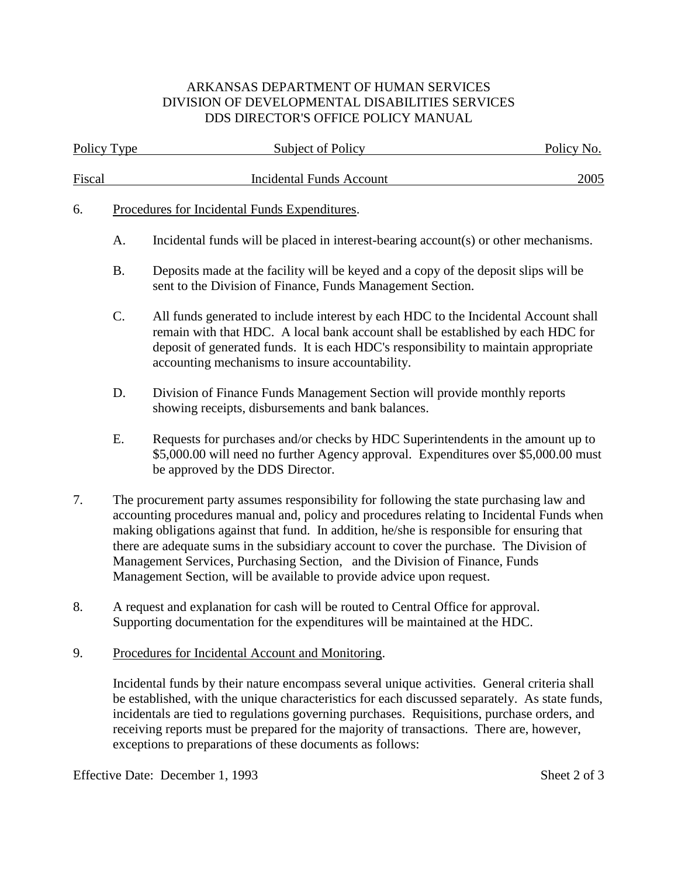## ARKANSAS DEPARTMENT OF HUMAN SERVICES DIVISION OF DEVELOPMENTAL DISABILITIES SERVICES DDS DIRECTOR'S OFFICE POLICY MANUAL

| Policy Type |                                                                                                                                                                                                                                                                                                                                                                                                                                                                                                                                        | <b>Subject of Policy</b>                                                                                                                                                                                                                                                                                         | Policy No. |  |  |
|-------------|----------------------------------------------------------------------------------------------------------------------------------------------------------------------------------------------------------------------------------------------------------------------------------------------------------------------------------------------------------------------------------------------------------------------------------------------------------------------------------------------------------------------------------------|------------------------------------------------------------------------------------------------------------------------------------------------------------------------------------------------------------------------------------------------------------------------------------------------------------------|------------|--|--|
| Fiscal      |                                                                                                                                                                                                                                                                                                                                                                                                                                                                                                                                        | <b>Incidental Funds Account</b>                                                                                                                                                                                                                                                                                  | 2005       |  |  |
| 6.          | Procedures for Incidental Funds Expenditures.                                                                                                                                                                                                                                                                                                                                                                                                                                                                                          |                                                                                                                                                                                                                                                                                                                  |            |  |  |
|             | A.                                                                                                                                                                                                                                                                                                                                                                                                                                                                                                                                     | Incidental funds will be placed in interest-bearing account(s) or other mechanisms.                                                                                                                                                                                                                              |            |  |  |
|             | <b>B.</b>                                                                                                                                                                                                                                                                                                                                                                                                                                                                                                                              | Deposits made at the facility will be keyed and a copy of the deposit slips will be<br>sent to the Division of Finance, Funds Management Section.                                                                                                                                                                |            |  |  |
|             | $C$ .                                                                                                                                                                                                                                                                                                                                                                                                                                                                                                                                  | All funds generated to include interest by each HDC to the Incidental Account shall<br>remain with that HDC. A local bank account shall be established by each HDC for<br>deposit of generated funds. It is each HDC's responsibility to maintain appropriate<br>accounting mechanisms to insure accountability. |            |  |  |
|             | D.                                                                                                                                                                                                                                                                                                                                                                                                                                                                                                                                     | Division of Finance Funds Management Section will provide monthly reports<br>showing receipts, disbursements and bank balances.                                                                                                                                                                                  |            |  |  |
|             | Ε.                                                                                                                                                                                                                                                                                                                                                                                                                                                                                                                                     | Requests for purchases and/or checks by HDC Superintendents in the amount up to<br>\$5,000.00 will need no further Agency approval. Expenditures over \$5,000.00 must<br>be approved by the DDS Director.                                                                                                        |            |  |  |
| 7.          | The procurement party assumes responsibility for following the state purchasing law and<br>accounting procedures manual and, policy and procedures relating to Incidental Funds when<br>making obligations against that fund. In addition, he/she is responsible for ensuring that<br>there are adequate sums in the subsidiary account to cover the purchase. The Division of<br>Management Services, Purchasing Section, and the Division of Finance, Funds<br>Management Section, will be available to provide advice upon request. |                                                                                                                                                                                                                                                                                                                  |            |  |  |
| 8.          |                                                                                                                                                                                                                                                                                                                                                                                                                                                                                                                                        | A request and explanation for cash will be routed to Central Office for approval.                                                                                                                                                                                                                                |            |  |  |

- Supporting documentation for the expenditures will be maintained at the HDC.
- 9. Procedures for Incidental Account and Monitoring.

Incidental funds by their nature encompass several unique activities. General criteria shall be established, with the unique characteristics for each discussed separately. As state funds, incidentals are tied to regulations governing purchases. Requisitions, purchase orders, and receiving reports must be prepared for the majority of transactions. There are, however, exceptions to preparations of these documents as follows:

Effective Date: December 1, 1993 Sheet 2 of 3